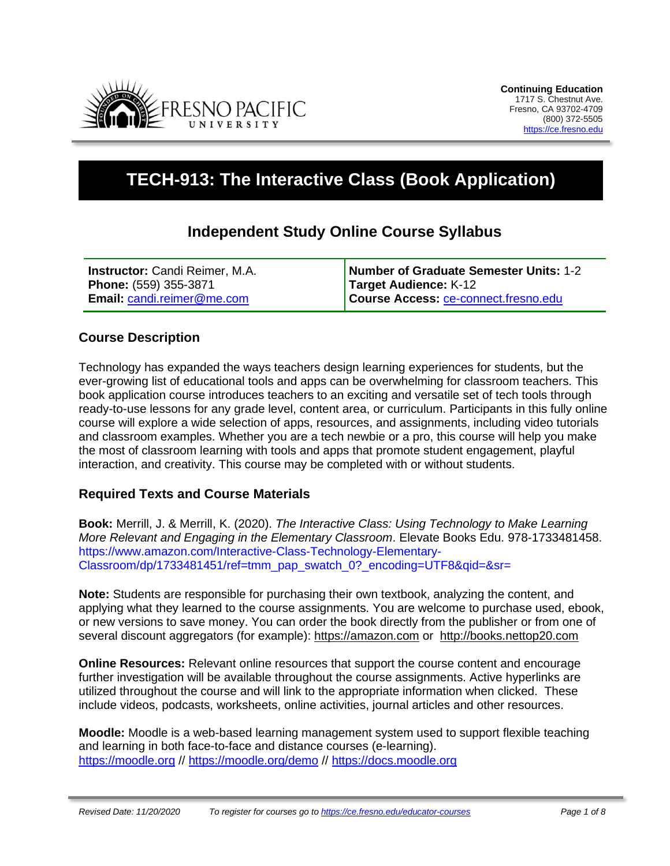

# **TECH-913: The Interactive Class (Book Application)**

# **Independent Study Online Course Syllabus**

| <b>Instructor:</b> Candi Reimer, M.A. | Number of Graduate Semester Units: 1-2      |
|---------------------------------------|---------------------------------------------|
| Phone: (559) 355-3871                 | Target Audience: K-12                       |
| Email: candi.reimer@me.com            | Course Access: <b>Ce-connect.fresno.edu</b> |

# **Course Description**

Technology has expanded the ways teachers design learning experiences for students, but the ever-growing list of educational tools and apps can be overwhelming for classroom teachers. This book application course introduces teachers to an exciting and versatile set of tech tools through ready-to-use lessons for any grade level, content area, or curriculum. Participants in this fully online course will explore a wide selection of apps, resources, and assignments, including video tutorials and classroom examples. Whether you are a tech newbie or a pro, this course will help you make the most of classroom learning with tools and apps that promote student engagement, playful interaction, and creativity. This course may be completed with or without students.

# **Required Texts and Course Materials**

**Book:** Merrill, J. & Merrill, K. (2020). *The Interactive Class: Using Technology to Make Learning More Relevant and Engaging in the Elementary Classroom*. Elevate Books Edu. 978-1733481458. https://www.amazon.com/Interactive-Class-Technology-Elementary-Classroom/dp/1733481451/ref=tmm\_pap\_swatch\_0?\_encoding=UTF8&qid=&sr=

**Note:** Students are responsible for purchasing their own textbook, analyzing the content, and applying what they learned to the course assignments. You are welcome to purchase used, ebook, or new versions to save money. You can order the book directly from the publisher or from one of several discount aggregators (for example): [https://amazon.com](https://amazon.com/) or [http://books.nettop20.com](http://books.nettop20.com/)

**Online Resources:** Relevant online resources that support the course content and encourage further investigation will be available throughout the course assignments. Active hyperlinks are utilized throughout the course and will link to the appropriate information when clicked. These include videos, podcasts, worksheets, online activities, journal articles and other resources.

**Moodle:** Moodle is a web-based learning management system used to support flexible teaching and learning in both face-to-face and distance courses (e-learning). [https://moodle.org](https://moodle.org/) // <https://moodle.org/demo> // [https://docs.moodle.org](https://docs.moodle.org/)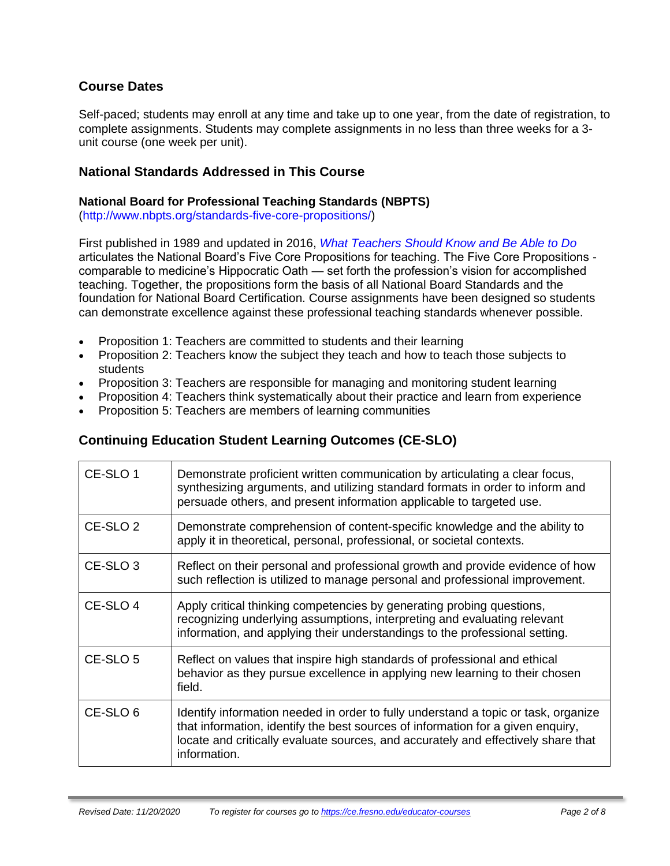# **Course Dates**

Self-paced; students may enroll at any time and take up to one year, from the date of registration, to complete assignments. Students may complete assignments in no less than three weeks for a 3 unit course (one week per unit).

### **National Standards Addressed in This Course**

#### **National Board for Professional Teaching Standards (NBPTS)**

(http://www.nbpts.org/standards-five-core-propositions/)

First published in 1989 and updated in 2016, *What Teachers Should Know and Be Able to Do*  articulates the National Board's Five Core Propositions for teaching. The Five Core Propositions comparable to medicine's Hippocratic Oath — set forth the profession's vision for accomplished teaching. Together, the propositions form the basis of all National Board Standards and the foundation for National Board Certification. Course assignments have been designed so students can demonstrate excellence against these professional teaching standards whenever possible.

- Proposition 1: Teachers are committed to students and their learning
- Proposition 2: Teachers know the subject they teach and how to teach those subjects to students
- Proposition 3: Teachers are responsible for managing and monitoring student learning
- Proposition 4: Teachers think systematically about their practice and learn from experience
- Proposition 5: Teachers are members of learning communities

# **Continuing Education Student Learning Outcomes (CE-SLO)**

| CE-SLO 1            | Demonstrate proficient written communication by articulating a clear focus,<br>synthesizing arguments, and utilizing standard formats in order to inform and<br>persuade others, and present information applicable to targeted use.                                       |
|---------------------|----------------------------------------------------------------------------------------------------------------------------------------------------------------------------------------------------------------------------------------------------------------------------|
| CE-SLO <sub>2</sub> | Demonstrate comprehension of content-specific knowledge and the ability to<br>apply it in theoretical, personal, professional, or societal contexts.                                                                                                                       |
| CE-SLO <sub>3</sub> | Reflect on their personal and professional growth and provide evidence of how<br>such reflection is utilized to manage personal and professional improvement.                                                                                                              |
| CE-SLO 4            | Apply critical thinking competencies by generating probing questions,<br>recognizing underlying assumptions, interpreting and evaluating relevant<br>information, and applying their understandings to the professional setting.                                           |
| CE-SLO 5            | Reflect on values that inspire high standards of professional and ethical<br>behavior as they pursue excellence in applying new learning to their chosen<br>field.                                                                                                         |
| CE-SLO 6            | Identify information needed in order to fully understand a topic or task, organize<br>that information, identify the best sources of information for a given enquiry,<br>locate and critically evaluate sources, and accurately and effectively share that<br>information. |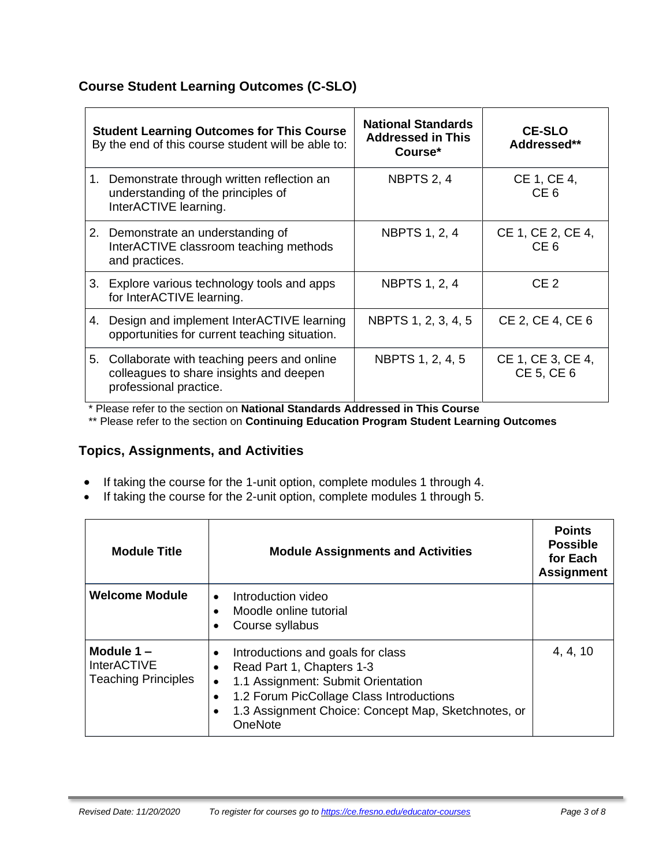# **Course Student Learning Outcomes (C-SLO)**

| <b>Student Learning Outcomes for This Course</b><br>By the end of this course student will be able to: |                                                                                                                    | <b>National Standards</b><br><b>Addressed in This</b><br>Course* | <b>CE-SLO</b><br>Addressed**         |
|--------------------------------------------------------------------------------------------------------|--------------------------------------------------------------------------------------------------------------------|------------------------------------------------------------------|--------------------------------------|
|                                                                                                        | 1. Demonstrate through written reflection an<br>understanding of the principles of<br>InterACTIVE learning.        | NBPTS 2, 4                                                       | CE 1, CE 4,<br>CE <sub>6</sub>       |
|                                                                                                        | 2. Demonstrate an understanding of<br>InterACTIVE classroom teaching methods<br>and practices.                     | <b>NBPTS 1, 2, 4</b>                                             | CE 1, CE 2, CE 4,<br>CE <sub>6</sub> |
|                                                                                                        | 3. Explore various technology tools and apps<br>for InterACTIVE learning.                                          | <b>NBPTS 1, 2, 4</b>                                             | CE <sub>2</sub>                      |
|                                                                                                        | 4. Design and implement InterACTIVE learning<br>opportunities for current teaching situation.                      | NBPTS 1, 2, 3, 4, 5                                              | CE 2, CE 4, CE 6                     |
|                                                                                                        | 5. Collaborate with teaching peers and online<br>colleagues to share insights and deepen<br>professional practice. | NBPTS 1, 2, 4, 5                                                 | CE 1, CE 3, CE 4,<br>CE 5, CE 6      |

\* Please refer to the section on **National Standards Addressed in This Course**

\*\* Please refer to the section on **Continuing Education Program Student Learning Outcomes**

# **Topics, Assignments, and Activities**

- If taking the course for the 1-unit option, complete modules 1 through 4.
- If taking the course for the 2-unit option, complete modules 1 through 5.

| <b>Module Title</b>                                              | <b>Module Assignments and Activities</b>                                                                                                                                                                                        | <b>Points</b><br><b>Possible</b><br>for Each<br><b>Assignment</b> |
|------------------------------------------------------------------|---------------------------------------------------------------------------------------------------------------------------------------------------------------------------------------------------------------------------------|-------------------------------------------------------------------|
| <b>Welcome Module</b>                                            | Introduction video<br>$\bullet$<br>Moodle online tutorial<br>Course syllabus                                                                                                                                                    |                                                                   |
| Module $1 -$<br><b>InterACTIVE</b><br><b>Teaching Principles</b> | Introductions and goals for class<br>Read Part 1, Chapters 1-3<br>1.1 Assignment: Submit Orientation<br>$\bullet$<br>1.2 Forum PicCollage Class Introductions<br>1.3 Assignment Choice: Concept Map, Sketchnotes, or<br>OneNote | 4, 4, 10                                                          |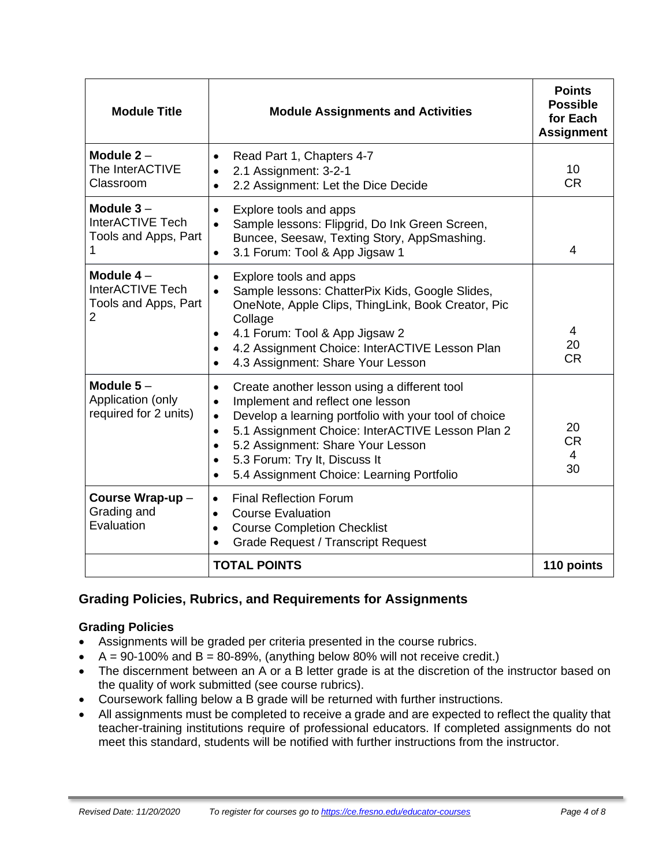| <b>Module Title</b>                                                       | <b>Module Assignments and Activities</b>                                                                                                                                                                                                                                                                                                                                                                    | <b>Points</b><br><b>Possible</b><br>for Each<br><b>Assignment</b> |
|---------------------------------------------------------------------------|-------------------------------------------------------------------------------------------------------------------------------------------------------------------------------------------------------------------------------------------------------------------------------------------------------------------------------------------------------------------------------------------------------------|-------------------------------------------------------------------|
| Module $2 -$<br>The InterACTIVE<br>Classroom                              | Read Part 1, Chapters 4-7<br>٠<br>2.1 Assignment: 3-2-1<br>$\bullet$<br>2.2 Assignment: Let the Dice Decide<br>$\bullet$                                                                                                                                                                                                                                                                                    | 10<br><b>CR</b>                                                   |
| Module $3-$<br>InterACTIVE Tech<br>Tools and Apps, Part<br>1              | Explore tools and apps<br>$\bullet$<br>Sample lessons: Flipgrid, Do Ink Green Screen,<br>$\bullet$<br>Buncee, Seesaw, Texting Story, AppSmashing.<br>3.1 Forum: Tool & App Jigsaw 1<br>$\bullet$                                                                                                                                                                                                            | $\overline{4}$                                                    |
| Module $4-$<br>InterACTIVE Tech<br>Tools and Apps, Part<br>$\overline{2}$ | Explore tools and apps<br>$\bullet$<br>Sample lessons: ChatterPix Kids, Google Slides,<br>$\bullet$<br>OneNote, Apple Clips, ThingLink, Book Creator, Pic<br>Collage<br>4.1 Forum: Tool & App Jigsaw 2<br>$\bullet$<br>4.2 Assignment Choice: InterACTIVE Lesson Plan<br>$\bullet$<br>4.3 Assignment: Share Your Lesson<br>$\bullet$                                                                        | 4<br>20<br><b>CR</b>                                              |
| Module $5-$<br>Application (only<br>required for 2 units)                 | Create another lesson using a different tool<br>$\bullet$<br>Implement and reflect one lesson<br>$\bullet$<br>Develop a learning portfolio with your tool of choice<br>$\bullet$<br>5.1 Assignment Choice: InterACTIVE Lesson Plan 2<br>$\bullet$<br>5.2 Assignment: Share Your Lesson<br>$\bullet$<br>5.3 Forum: Try It, Discuss It<br>$\bullet$<br>5.4 Assignment Choice: Learning Portfolio<br>$\bullet$ | 20<br><b>CR</b><br>4<br>30                                        |
| Course Wrap-up -<br>Grading and<br>Evaluation                             | <b>Final Reflection Forum</b><br>$\bullet$<br><b>Course Evaluation</b><br>$\bullet$<br><b>Course Completion Checklist</b><br>$\bullet$<br><b>Grade Request / Transcript Request</b><br>$\bullet$                                                                                                                                                                                                            |                                                                   |
|                                                                           | <b>TOTAL POINTS</b>                                                                                                                                                                                                                                                                                                                                                                                         | 110 points                                                        |

# **Grading Policies, Rubrics, and Requirements for Assignments**

#### **Grading Policies**

- Assignments will be graded per criteria presented in the course rubrics.
- $A = 90-100\%$  and  $B = 80-89\%$ , (anything below 80% will not receive credit.)
- The discernment between an A or a B letter grade is at the discretion of the instructor based on the quality of work submitted (see course rubrics).
- Coursework falling below a B grade will be returned with further instructions.
- All assignments must be completed to receive a grade and are expected to reflect the quality that teacher-training institutions require of professional educators. If completed assignments do not meet this standard, students will be notified with further instructions from the instructor.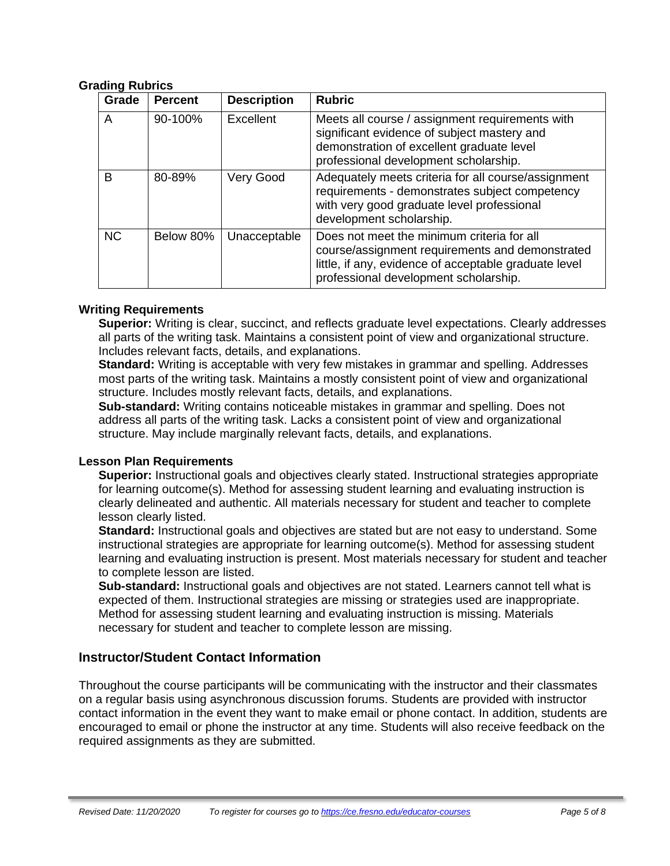#### **Grading Rubrics**

| Grade     | <b>Percent</b> | <b>Description</b> | <b>Rubric</b>                                                                                                                                                                                   |
|-----------|----------------|--------------------|-------------------------------------------------------------------------------------------------------------------------------------------------------------------------------------------------|
| A         | 90-100%        | Excellent          | Meets all course / assignment requirements with<br>significant evidence of subject mastery and<br>demonstration of excellent graduate level<br>professional development scholarship.            |
| B         | 80-89%         | Very Good          | Adequately meets criteria for all course/assignment<br>requirements - demonstrates subject competency<br>with very good graduate level professional<br>development scholarship.                 |
| <b>NC</b> | Below 80%      | Unacceptable       | Does not meet the minimum criteria for all<br>course/assignment requirements and demonstrated<br>little, if any, evidence of acceptable graduate level<br>professional development scholarship. |

#### **Writing Requirements**

**Superior:** Writing is clear, succinct, and reflects graduate level expectations. Clearly addresses all parts of the writing task. Maintains a consistent point of view and organizational structure. Includes relevant facts, details, and explanations.

**Standard:** Writing is acceptable with very few mistakes in grammar and spelling. Addresses most parts of the writing task. Maintains a mostly consistent point of view and organizational structure. Includes mostly relevant facts, details, and explanations.

**Sub-standard:** Writing contains noticeable mistakes in grammar and spelling. Does not address all parts of the writing task. Lacks a consistent point of view and organizational structure. May include marginally relevant facts, details, and explanations.

#### **Lesson Plan Requirements**

**Superior:** Instructional goals and objectives clearly stated. Instructional strategies appropriate for learning outcome(s). Method for assessing student learning and evaluating instruction is clearly delineated and authentic. All materials necessary for student and teacher to complete lesson clearly listed.

**Standard:** Instructional goals and objectives are stated but are not easy to understand. Some instructional strategies are appropriate for learning outcome(s). Method for assessing student learning and evaluating instruction is present. Most materials necessary for student and teacher to complete lesson are listed.

**Sub-standard:** Instructional goals and objectives are not stated. Learners cannot tell what is expected of them. Instructional strategies are missing or strategies used are inappropriate. Method for assessing student learning and evaluating instruction is missing. Materials necessary for student and teacher to complete lesson are missing.

#### **Instructor/Student Contact Information**

Throughout the course participants will be communicating with the instructor and their classmates on a regular basis using asynchronous discussion forums. Students are provided with instructor contact information in the event they want to make email or phone contact. In addition, students are encouraged to email or phone the instructor at any time. Students will also receive feedback on the required assignments as they are submitted.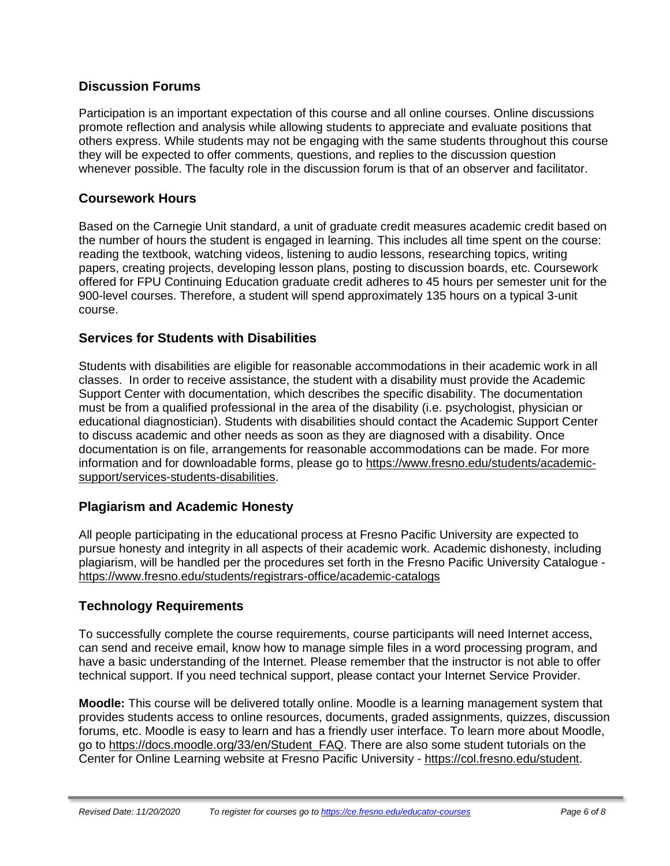# **Discussion Forums**

Participation is an important expectation of this course and all online courses. Online discussions promote reflection and analysis while allowing students to appreciate and evaluate positions that others express. While students may not be engaging with the same students throughout this course they will be expected to offer comments, questions, and replies to the discussion question whenever possible. The faculty role in the discussion forum is that of an observer and facilitator.

# **Coursework Hours**

Based on the Carnegie Unit standard, a unit of graduate credit measures academic credit based on the number of hours the student is engaged in learning. This includes all time spent on the course: reading the textbook, watching videos, listening to audio lessons, researching topics, writing papers, creating projects, developing lesson plans, posting to discussion boards, etc. Coursework offered for FPU Continuing Education graduate credit adheres to 45 hours per semester unit for the 900-level courses. Therefore, a student will spend approximately 135 hours on a typical 3-unit course.

# **Services for Students with Disabilities**

Students with disabilities are eligible for reasonable accommodations in their academic work in all classes. In order to receive assistance, the student with a disability must provide the Academic Support Center with documentation, which describes the specific disability. The documentation must be from a qualified professional in the area of the disability (i.e. psychologist, physician or educational diagnostician). Students with disabilities should contact the Academic Support Center to discuss academic and other needs as soon as they are diagnosed with a disability. Once documentation is on file, arrangements for reasonable accommodations can be made. For more information and for downloadable forms, please go to [https://www.fresno.edu/students/academic](https://www.fresno.edu/students/academic-support/services-students-disabilities)[support/services-students-disabilities.](https://www.fresno.edu/students/academic-support/services-students-disabilities)

# **Plagiarism and Academic Honesty**

All people participating in the educational process at Fresno Pacific University are expected to pursue honesty and integrity in all aspects of their academic work. Academic dishonesty, including plagiarism, will be handled per the procedures set forth in the Fresno Pacific University Catalogue <https://www.fresno.edu/students/registrars-office/academic-catalogs>

# **Technology Requirements**

To successfully complete the course requirements, course participants will need Internet access, can send and receive email, know how to manage simple files in a word processing program, and have a basic understanding of the Internet. Please remember that the instructor is not able to offer technical support. If you need technical support, please contact your Internet Service Provider.

**Moodle:** This course will be delivered totally online. Moodle is a learning management system that provides students access to online resources, documents, graded assignments, quizzes, discussion forums, etc. Moodle is easy to learn and has a friendly user interface. To learn more about Moodle, go to [https://docs.moodle.org/33/en/Student\\_FAQ.](https://docs.moodle.org/33/en/Student_FAQ) There are also some student tutorials on the Center for Online Learning website at Fresno Pacific University - [https://col.fresno.edu/student.](https://col.fresno.edu/student)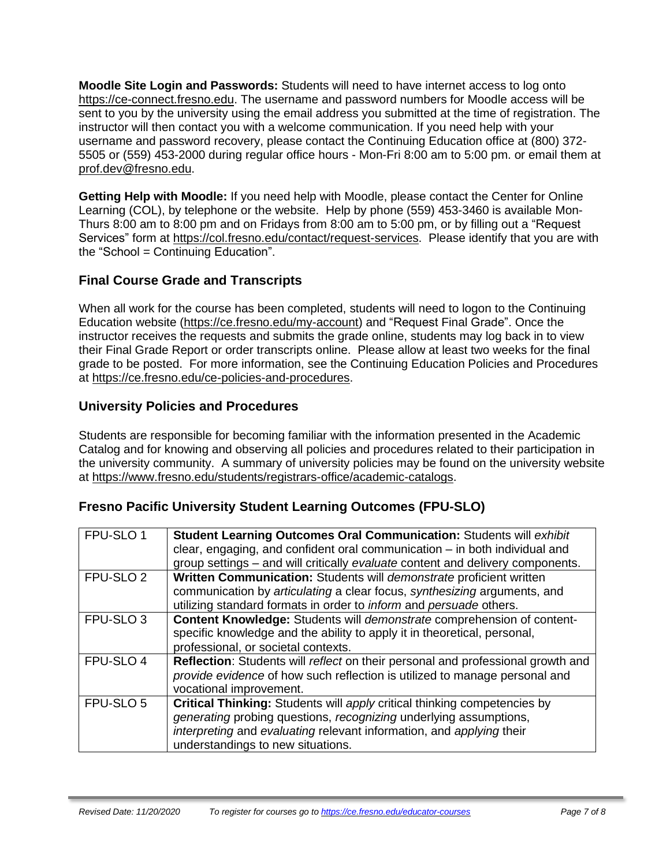**Moodle Site Login and Passwords:** Students will need to have internet access to log onto [https://ce-connect.fresno.edu.](https://ce-connect.fresno.edu/) The username and password numbers for Moodle access will be sent to you by the university using the email address you submitted at the time of registration. The instructor will then contact you with a welcome communication. If you need help with your username and password recovery, please contact the Continuing Education office at (800) 372- 5505 or (559) 453-2000 during regular office hours - Mon-Fri 8:00 am to 5:00 pm. or email them at [prof.dev@fresno.edu.](mailto:prof.dev@fresno.edu)

**Getting Help with Moodle:** If you need help with Moodle, please contact the Center for Online Learning (COL), by telephone or the website. Help by phone (559) 453-3460 is available Mon-Thurs 8:00 am to 8:00 pm and on Fridays from 8:00 am to 5:00 pm, or by filling out a "Request Services" form at [https://col.fresno.edu/contact/request-services.](https://col.fresno.edu/contact/request-services) Please identify that you are with the "School = Continuing Education".

# **Final Course Grade and Transcripts**

When all work for the course has been completed, students will need to logon to the Continuing Education website [\(https://ce.fresno.edu/my-account\)](https://ce.fresno.edu/my-account) and "Request Final Grade". Once the instructor receives the requests and submits the grade online, students may log back in to view their Final Grade Report or order transcripts online. Please allow at least two weeks for the final grade to be posted. For more information, see the Continuing Education Policies and Procedures at [https://ce.fresno.edu/ce-policies-and-procedures.](https://ce.fresno.edu/ce-policies-and-procedures)

# **University Policies and Procedures**

Students are responsible for becoming familiar with the information presented in the Academic Catalog and for knowing and observing all policies and procedures related to their participation in the university community. A summary of university policies may be found on the university website at [https://www.fresno.edu/students/registrars-office/academic-catalogs.](https://www.fresno.edu/students/registrars-office/academic-catalogs)

# **Fresno Pacific University Student Learning Outcomes (FPU-SLO)**

| FPU-SLO 1            | Student Learning Outcomes Oral Communication: Students will exhibit<br>clear, engaging, and confident oral communication – in both individual and<br>group settings - and will critically evaluate content and delivery components.                               |
|----------------------|-------------------------------------------------------------------------------------------------------------------------------------------------------------------------------------------------------------------------------------------------------------------|
| FPU-SLO <sub>2</sub> | Written Communication: Students will demonstrate proficient written<br>communication by articulating a clear focus, synthesizing arguments, and<br>utilizing standard formats in order to <i>inform</i> and <i>persuade</i> others.                               |
| FPU-SLO <sub>3</sub> | Content Knowledge: Students will demonstrate comprehension of content-<br>specific knowledge and the ability to apply it in theoretical, personal,<br>professional, or societal contexts.                                                                         |
| FPU-SLO 4            | Reflection: Students will reflect on their personal and professional growth and<br>provide evidence of how such reflection is utilized to manage personal and<br>vocational improvement.                                                                          |
| FPU-SLO 5            | <b>Critical Thinking:</b> Students will apply critical thinking competencies by<br>generating probing questions, recognizing underlying assumptions,<br>interpreting and evaluating relevant information, and applying their<br>understandings to new situations. |